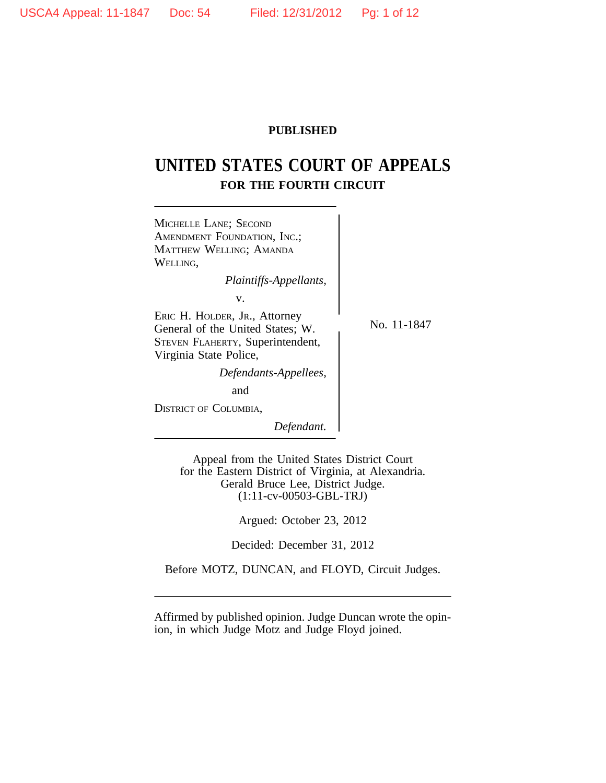# **PUBLISHED**

# **UNITED STATES COURT OF APPEALS FOR THE FOURTH CIRCUIT**



Appeal from the United States District Court for the Eastern District of Virginia, at Alexandria. Gerald Bruce Lee, District Judge. (1:11-cv-00503-GBL-TRJ)

Argued: October 23, 2012

Decided: December 31, 2012

Before MOTZ, DUNCAN, and FLOYD, Circuit Judges.

Affirmed by published opinion. Judge Duncan wrote the opinion, in which Judge Motz and Judge Floyd joined.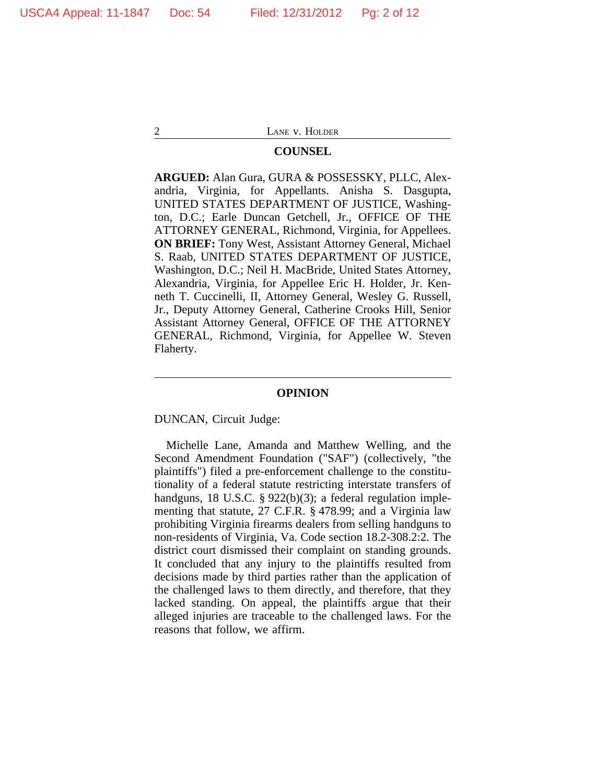### **COUNSEL**

**ARGUED:** Alan Gura, GURA & POSSESSKY, PLLC, Alexandria, Virginia, for Appellants. Anisha S. Dasgupta, UNITED STATES DEPARTMENT OF JUSTICE, Washington, D.C.; Earle Duncan Getchell, Jr., OFFICE OF THE ATTORNEY GENERAL, Richmond, Virginia, for Appellees. **ON BRIEF:** Tony West, Assistant Attorney General, Michael S. Raab, UNITED STATES DEPARTMENT OF JUSTICE, Washington, D.C.; Neil H. MacBride, United States Attorney, Alexandria, Virginia, for Appellee Eric H. Holder, Jr. Kenneth T. Cuccinelli, II, Attorney General, Wesley G. Russell, Jr., Deputy Attorney General, Catherine Crooks Hill, Senior Assistant Attorney General, OFFICE OF THE ATTORNEY GENERAL, Richmond, Virginia, for Appellee W. Steven Flaherty.

#### **OPINION**

DUNCAN, Circuit Judge:

Michelle Lane, Amanda and Matthew Welling, and the Second Amendment Foundation ("SAF") (collectively, "the plaintiffs") filed a pre-enforcement challenge to the constitutionality of a federal statute restricting interstate transfers of handguns, 18 U.S.C. § 922(b)(3); a federal regulation implementing that statute, 27 C.F.R. § 478.99; and a Virginia law prohibiting Virginia firearms dealers from selling handguns to non-residents of Virginia, Va. Code section 18.2-308.2:2. The district court dismissed their complaint on standing grounds. It concluded that any injury to the plaintiffs resulted from decisions made by third parties rather than the application of the challenged laws to them directly, and therefore, that they lacked standing. On appeal, the plaintiffs argue that their alleged injuries are traceable to the challenged laws. For the reasons that follow, we affirm.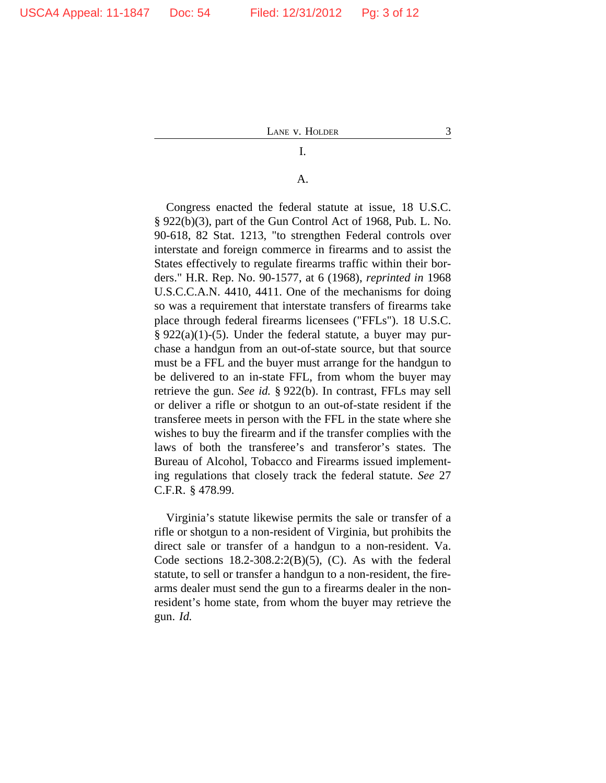# A.

I.

Congress enacted the federal statute at issue, 18 U.S.C. § 922(b)(3), part of the Gun Control Act of 1968, Pub. L. No. 90-618, 82 Stat. 1213, "to strengthen Federal controls over interstate and foreign commerce in firearms and to assist the States effectively to regulate firearms traffic within their borders." H.R. Rep. No. 90-1577, at 6 (1968), *reprinted in* 1968 U.S.C.C.A.N. 4410, 4411. One of the mechanisms for doing so was a requirement that interstate transfers of firearms take place through federal firearms licensees ("FFLs"). 18 U.S.C.  $\S 922(a)(1)-(5)$ . Under the federal statute, a buyer may purchase a handgun from an out-of-state source, but that source must be a FFL and the buyer must arrange for the handgun to be delivered to an in-state FFL, from whom the buyer may retrieve the gun. *See id.* § 922(b). In contrast, FFLs may sell or deliver a rifle or shotgun to an out-of-state resident if the transferee meets in person with the FFL in the state where she wishes to buy the firearm and if the transfer complies with the laws of both the transferee's and transferor's states. The Bureau of Alcohol, Tobacco and Firearms issued implementing regulations that closely track the federal statute. *See* 27 C.F.R. § 478.99.

Virginia's statute likewise permits the sale or transfer of a rifle or shotgun to a non-resident of Virginia, but prohibits the direct sale or transfer of a handgun to a non-resident. Va. Code sections  $18.2\n-308.2\n2(B)(5)$ , (C). As with the federal statute, to sell or transfer a handgun to a non-resident, the firearms dealer must send the gun to a firearms dealer in the nonresident's home state, from whom the buyer may retrieve the gun. *Id.*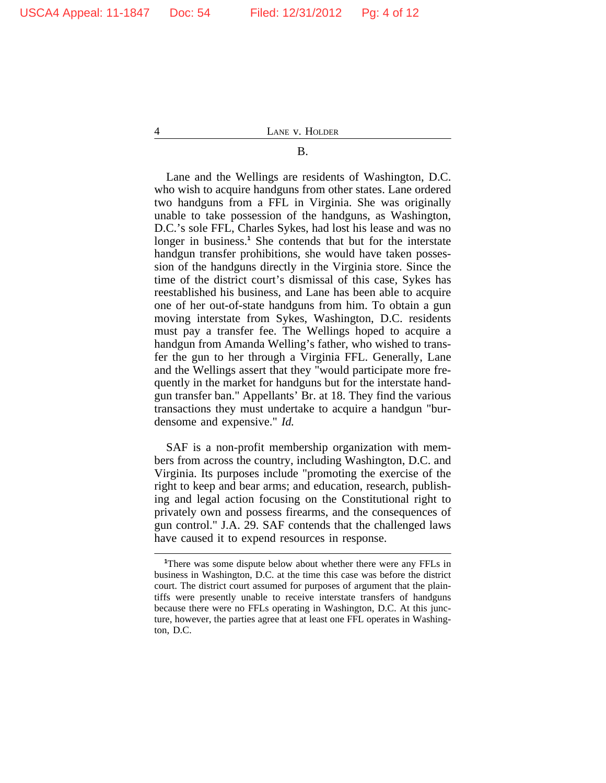B. 4 LANE v. HOLDER

# Lane and the Wellings are residents of Washington, D.C. who wish to acquire handguns from other states. Lane ordered two handguns from a FFL in Virginia. She was originally unable to take possession of the handguns, as Washington, D.C.'s sole FFL, Charles Sykes, had lost his lease and was no longer in business.<sup>1</sup> She contends that but for the interstate handgun transfer prohibitions, she would have taken possession of the handguns directly in the Virginia store. Since the time of the district court's dismissal of this case, Sykes has reestablished his business, and Lane has been able to acquire one of her out-of-state handguns from him. To obtain a gun moving interstate from Sykes, Washington, D.C. residents must pay a transfer fee. The Wellings hoped to acquire a handgun from Amanda Welling's father, who wished to transfer the gun to her through a Virginia FFL. Generally, Lane and the Wellings assert that they "would participate more frequently in the market for handguns but for the interstate handgun transfer ban." Appellants' Br. at 18. They find the various transactions they must undertake to acquire a handgun "burdensome and expensive." *Id.*

SAF is a non-profit membership organization with members from across the country, including Washington, D.C. and Virginia. Its purposes include "promoting the exercise of the right to keep and bear arms; and education, research, publishing and legal action focusing on the Constitutional right to privately own and possess firearms, and the consequences of gun control." J.A. 29. SAF contends that the challenged laws have caused it to expend resources in response.

**<sup>1</sup>**There was some dispute below about whether there were any FFLs in business in Washington, D.C. at the time this case was before the district court. The district court assumed for purposes of argument that the plaintiffs were presently unable to receive interstate transfers of handguns because there were no FFLs operating in Washington, D.C. At this juncture, however, the parties agree that at least one FFL operates in Washington, D.C.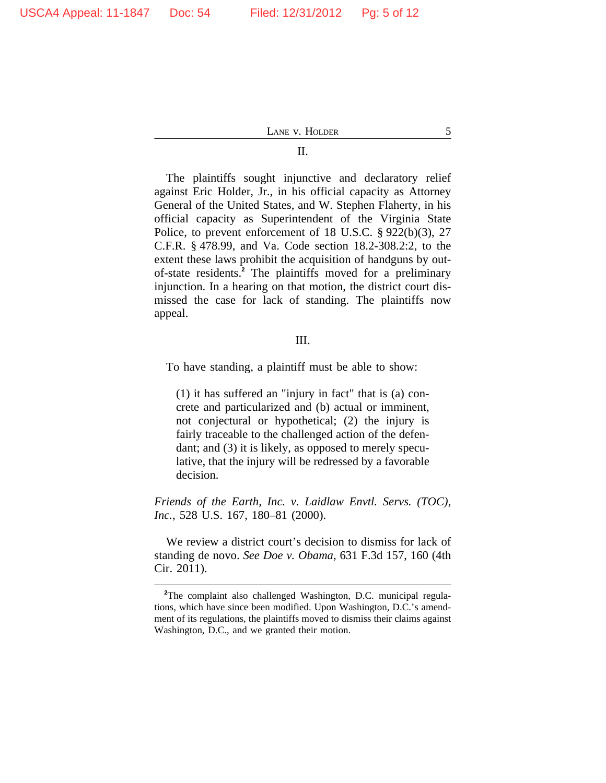#### II.

The plaintiffs sought injunctive and declaratory relief against Eric Holder, Jr., in his official capacity as Attorney General of the United States, and W. Stephen Flaherty, in his official capacity as Superintendent of the Virginia State Police, to prevent enforcement of 18 U.S.C. § 922(b)(3), 27 C.F.R. § 478.99, and Va. Code section 18.2-308.2:2, to the extent these laws prohibit the acquisition of handguns by outof-state residents.**<sup>2</sup>** The plaintiffs moved for a preliminary injunction. In a hearing on that motion, the district court dismissed the case for lack of standing. The plaintiffs now appeal.

## III.

To have standing, a plaintiff must be able to show:

(1) it has suffered an "injury in fact" that is (a) concrete and particularized and (b) actual or imminent, not conjectural or hypothetical; (2) the injury is fairly traceable to the challenged action of the defendant; and (3) it is likely, as opposed to merely speculative, that the injury will be redressed by a favorable decision.

*Friends of the Earth, Inc. v. Laidlaw Envtl. Servs. (TOC), Inc.*, 528 U.S. 167, 180–81 (2000).

We review a district court's decision to dismiss for lack of standing de novo. *See Doe v. Obama*, 631 F.3d 157, 160 (4th Cir. 2011).

**<sup>2</sup>**The complaint also challenged Washington, D.C. municipal regulations, which have since been modified. Upon Washington, D.C.'s amendment of its regulations, the plaintiffs moved to dismiss their claims against Washington, D.C., and we granted their motion.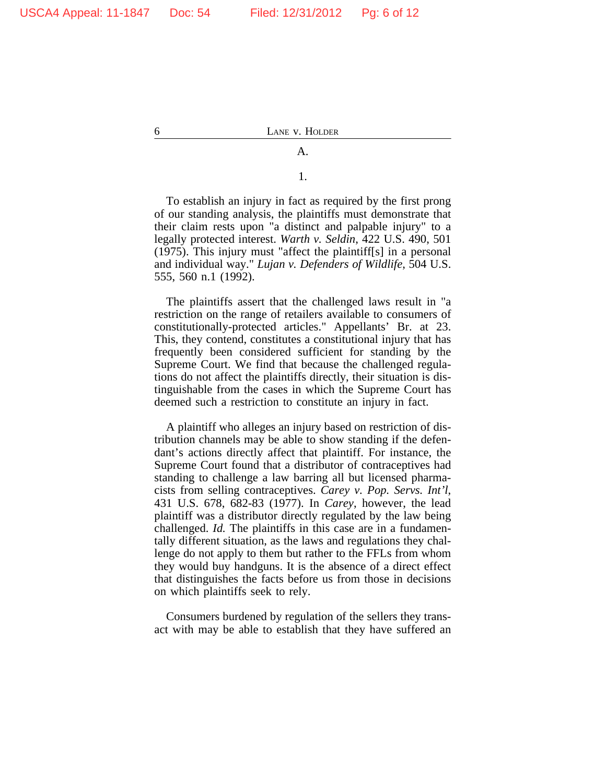1.

A.

To establish an injury in fact as required by the first prong of our standing analysis, the plaintiffs must demonstrate that their claim rests upon "a distinct and palpable injury" to a legally protected interest. *Warth v. Seldin*, 422 U.S. 490, 501 (1975). This injury must "affect the plaintiff[s] in a personal and individual way." *Lujan v. Defenders of Wildlife*, 504 U.S. 555, 560 n.1 (1992).

The plaintiffs assert that the challenged laws result in "a restriction on the range of retailers available to consumers of constitutionally-protected articles." Appellants' Br. at 23. This, they contend, constitutes a constitutional injury that has frequently been considered sufficient for standing by the Supreme Court. We find that because the challenged regulations do not affect the plaintiffs directly, their situation is distinguishable from the cases in which the Supreme Court has deemed such a restriction to constitute an injury in fact.

A plaintiff who alleges an injury based on restriction of distribution channels may be able to show standing if the defendant's actions directly affect that plaintiff. For instance, the Supreme Court found that a distributor of contraceptives had standing to challenge a law barring all but licensed pharmacists from selling contraceptives. *Carey v. Pop. Servs. Int'l*, 431 U.S. 678, 682-83 (1977). In *Carey*, however, the lead plaintiff was a distributor directly regulated by the law being challenged. *Id.* The plaintiffs in this case are in a fundamentally different situation, as the laws and regulations they challenge do not apply to them but rather to the FFLs from whom they would buy handguns. It is the absence of a direct effect that distinguishes the facts before us from those in decisions on which plaintiffs seek to rely.

Consumers burdened by regulation of the sellers they transact with may be able to establish that they have suffered an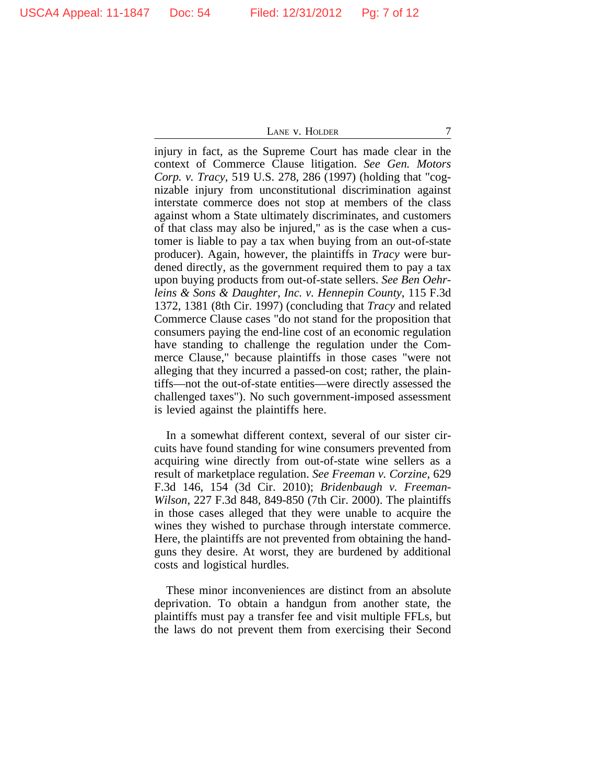injury in fact, as the Supreme Court has made clear in the context of Commerce Clause litigation. *See Gen. Motors Corp. v. Tracy*, 519 U.S. 278, 286 (1997) (holding that "cognizable injury from unconstitutional discrimination against interstate commerce does not stop at members of the class against whom a State ultimately discriminates, and customers of that class may also be injured," as is the case when a customer is liable to pay a tax when buying from an out-of-state producer). Again, however, the plaintiffs in *Tracy* were burdened directly, as the government required them to pay a tax upon buying products from out-of-state sellers. *See Ben Oehrleins & Sons & Daughter, Inc. v. Hennepin County*, 115 F.3d 1372, 1381 (8th Cir. 1997) (concluding that *Tracy* and related Commerce Clause cases "do not stand for the proposition that consumers paying the end-line cost of an economic regulation have standing to challenge the regulation under the Commerce Clause," because plaintiffs in those cases "were not alleging that they incurred a passed-on cost; rather, the plaintiffs—not the out-of-state entities—were directly assessed the challenged taxes"). No such government-imposed assessment is levied against the plaintiffs here.

In a somewhat different context, several of our sister circuits have found standing for wine consumers prevented from acquiring wine directly from out-of-state wine sellers as a result of marketplace regulation. *See Freeman v. Corzine*, 629 F.3d 146, 154 (3d Cir. 2010); *Bridenbaugh v. Freeman-Wilson*, 227 F.3d 848, 849-850 (7th Cir. 2000). The plaintiffs in those cases alleged that they were unable to acquire the wines they wished to purchase through interstate commerce. Here, the plaintiffs are not prevented from obtaining the handguns they desire. At worst, they are burdened by additional costs and logistical hurdles.

These minor inconveniences are distinct from an absolute deprivation. To obtain a handgun from another state, the plaintiffs must pay a transfer fee and visit multiple FFLs, but the laws do not prevent them from exercising their Second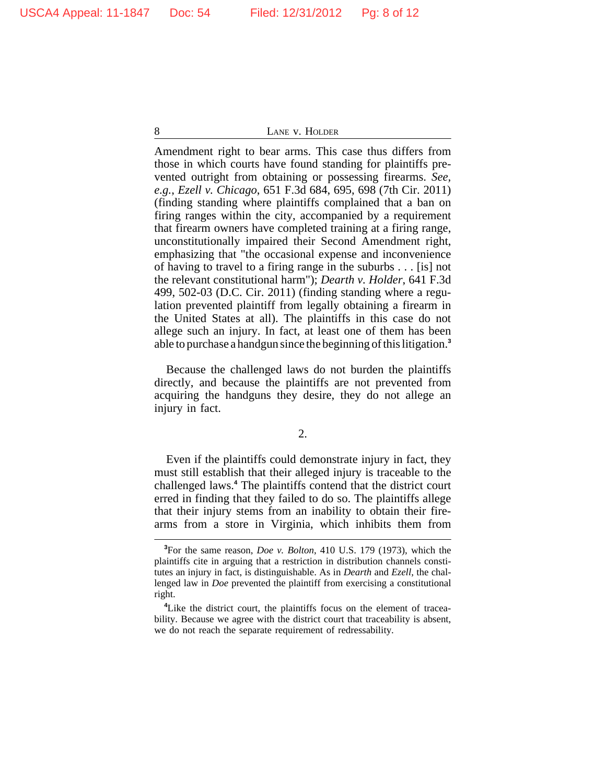Amendment right to bear arms. This case thus differs from those in which courts have found standing for plaintiffs prevented outright from obtaining or possessing firearms. *See, e.g.*, *Ezell v. Chicago*, 651 F.3d 684, 695, 698 (7th Cir. 2011) (finding standing where plaintiffs complained that a ban on firing ranges within the city, accompanied by a requirement that firearm owners have completed training at a firing range, unconstitutionally impaired their Second Amendment right, emphasizing that "the occasional expense and inconvenience of having to travel to a firing range in the suburbs . . . [is] not the relevant constitutional harm"); *Dearth v. Holder*, 641 F.3d 499, 502-03 (D.C. Cir. 2011) (finding standing where a regulation prevented plaintiff from legally obtaining a firearm in the United States at all). The plaintiffs in this case do not allege such an injury. In fact, at least one of them has been able to purchase a handgun since the beginning of this litigation.**<sup>3</sup>**

Because the challenged laws do not burden the plaintiffs directly, and because the plaintiffs are not prevented from acquiring the handguns they desire, they do not allege an injury in fact.

2.

Even if the plaintiffs could demonstrate injury in fact, they must still establish that their alleged injury is traceable to the challenged laws.**<sup>4</sup>** The plaintiffs contend that the district court erred in finding that they failed to do so. The plaintiffs allege that their injury stems from an inability to obtain their firearms from a store in Virginia, which inhibits them from

**<sup>3</sup>**For the same reason, *Doe v. Bolton*, 410 U.S. 179 (1973), which the plaintiffs cite in arguing that a restriction in distribution channels constitutes an injury in fact, is distinguishable. As in *Dearth* and *Ezell*, the challenged law in *Doe* prevented the plaintiff from exercising a constitutional right.

<sup>&</sup>lt;sup>4</sup>Like the district court, the plaintiffs focus on the element of traceability. Because we agree with the district court that traceability is absent, we do not reach the separate requirement of redressability.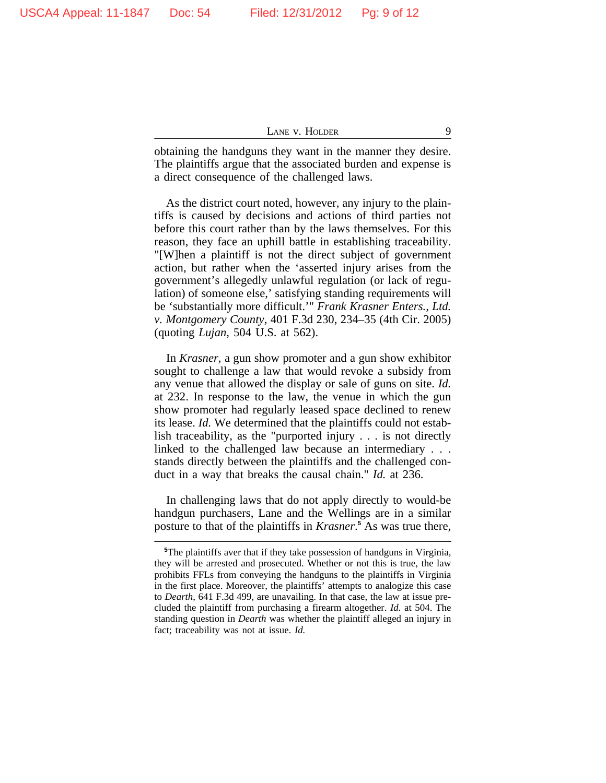obtaining the handguns they want in the manner they desire. The plaintiffs argue that the associated burden and expense is a direct consequence of the challenged laws.

As the district court noted, however, any injury to the plaintiffs is caused by decisions and actions of third parties not before this court rather than by the laws themselves. For this reason, they face an uphill battle in establishing traceability. "[W]hen a plaintiff is not the direct subject of government action, but rather when the 'asserted injury arises from the government's allegedly unlawful regulation (or lack of regulation) of someone else,' satisfying standing requirements will be 'substantially more difficult.'" *Frank Krasner Enters., Ltd. v. Montgomery County*, 401 F.3d 230, 234–35 (4th Cir. 2005) (quoting *Lujan*, 504 U.S. at 562).

In *Krasner*, a gun show promoter and a gun show exhibitor sought to challenge a law that would revoke a subsidy from any venue that allowed the display or sale of guns on site. *Id.* at 232. In response to the law, the venue in which the gun show promoter had regularly leased space declined to renew its lease. *Id.* We determined that the plaintiffs could not establish traceability, as the "purported injury . . . is not directly linked to the challenged law because an intermediary . . . stands directly between the plaintiffs and the challenged conduct in a way that breaks the causal chain." *Id.* at 236.

In challenging laws that do not apply directly to would-be handgun purchasers, Lane and the Wellings are in a similar posture to that of the plaintiffs in *Krasner*.<sup>5</sup> As was true there,

**<sup>5</sup>**The plaintiffs aver that if they take possession of handguns in Virginia, they will be arrested and prosecuted. Whether or not this is true, the law prohibits FFLs from conveying the handguns to the plaintiffs in Virginia in the first place. Moreover, the plaintiffs' attempts to analogize this case to *Dearth*, 641 F.3d 499, are unavailing. In that case, the law at issue precluded the plaintiff from purchasing a firearm altogether. *Id.* at 504. The standing question in *Dearth* was whether the plaintiff alleged an injury in fact; traceability was not at issue. *Id.*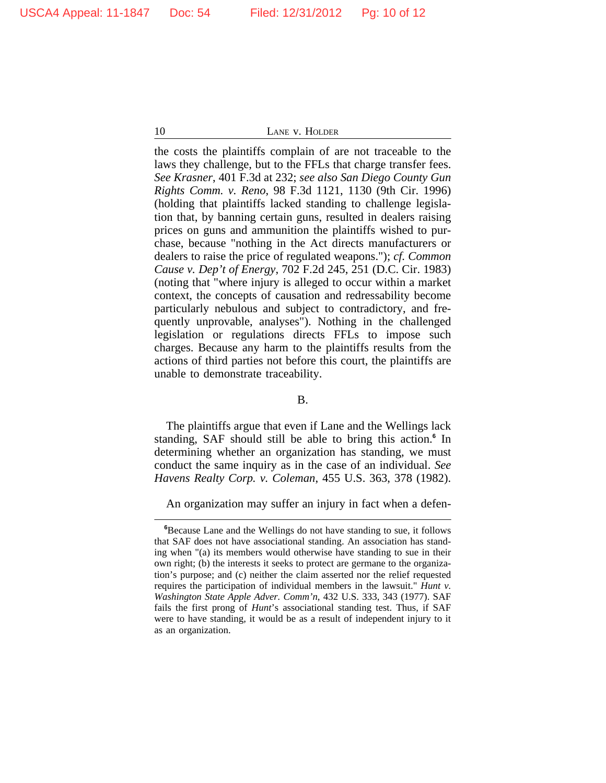the costs the plaintiffs complain of are not traceable to the laws they challenge, but to the FFLs that charge transfer fees. *See Krasner*, 401 F.3d at 232; *see also San Diego County Gun Rights Comm. v. Reno*, 98 F.3d 1121, 1130 (9th Cir. 1996) (holding that plaintiffs lacked standing to challenge legislation that, by banning certain guns, resulted in dealers raising prices on guns and ammunition the plaintiffs wished to purchase, because "nothing in the Act directs manufacturers or dealers to raise the price of regulated weapons."); *cf. Common Cause v. Dep't of Energy*, 702 F.2d 245, 251 (D.C. Cir. 1983) (noting that "where injury is alleged to occur within a market context, the concepts of causation and redressability become particularly nebulous and subject to contradictory, and frequently unprovable, analyses"). Nothing in the challenged legislation or regulations directs FFLs to impose such charges. Because any harm to the plaintiffs results from the actions of third parties not before this court, the plaintiffs are unable to demonstrate traceability.

#### B.

The plaintiffs argue that even if Lane and the Wellings lack standing, SAF should still be able to bring this action.**<sup>6</sup>** In determining whether an organization has standing, we must conduct the same inquiry as in the case of an individual. *See Havens Realty Corp. v. Coleman*, 455 U.S. 363, 378 (1982).

An organization may suffer an injury in fact when a defen-

**<sup>6</sup>**Because Lane and the Wellings do not have standing to sue, it follows that SAF does not have associational standing. An association has standing when "(a) its members would otherwise have standing to sue in their own right; (b) the interests it seeks to protect are germane to the organization's purpose; and (c) neither the claim asserted nor the relief requested requires the participation of individual members in the lawsuit." *Hunt v. Washington State Apple Adver. Comm'n*, 432 U.S. 333, 343 (1977). SAF fails the first prong of *Hunt*'s associational standing test. Thus, if SAF were to have standing, it would be as a result of independent injury to it as an organization.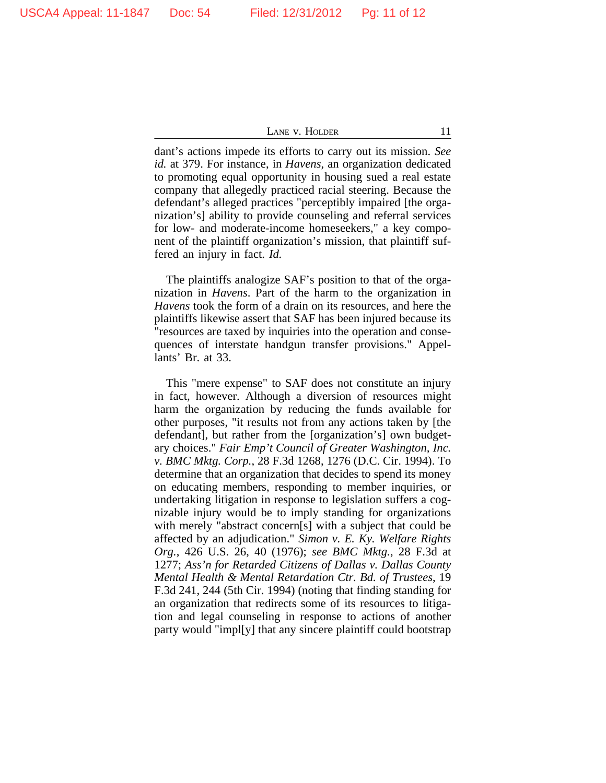dant's actions impede its efforts to carry out its mission. *See id.* at 379. For instance, in *Havens*, an organization dedicated to promoting equal opportunity in housing sued a real estate company that allegedly practiced racial steering. Because the defendant's alleged practices "perceptibly impaired [the organization's] ability to provide counseling and referral services for low- and moderate-income homeseekers," a key component of the plaintiff organization's mission, that plaintiff suffered an injury in fact. *Id.*

The plaintiffs analogize SAF's position to that of the organization in *Havens*. Part of the harm to the organization in *Havens* took the form of a drain on its resources, and here the plaintiffs likewise assert that SAF has been injured because its "resources are taxed by inquiries into the operation and consequences of interstate handgun transfer provisions." Appellants' Br. at 33.

This "mere expense" to SAF does not constitute an injury in fact, however. Although a diversion of resources might harm the organization by reducing the funds available for other purposes, "it results not from any actions taken by [the defendant], but rather from the [organization's] own budgetary choices." *Fair Emp't Council of Greater Washington, Inc. v. BMC Mktg. Corp.*, 28 F.3d 1268, 1276 (D.C. Cir. 1994). To determine that an organization that decides to spend its money on educating members, responding to member inquiries, or undertaking litigation in response to legislation suffers a cognizable injury would be to imply standing for organizations with merely "abstract concern[s] with a subject that could be affected by an adjudication." *Simon v. E. Ky. Welfare Rights Org.*, 426 U.S. 26, 40 (1976); *see BMC Mktg.*, 28 F.3d at 1277; *Ass'n for Retarded Citizens of Dallas v. Dallas County Mental Health & Mental Retardation Ctr. Bd. of Trustees*, 19 F.3d 241, 244 (5th Cir. 1994) (noting that finding standing for an organization that redirects some of its resources to litigation and legal counseling in response to actions of another party would "impl[y] that any sincere plaintiff could bootstrap